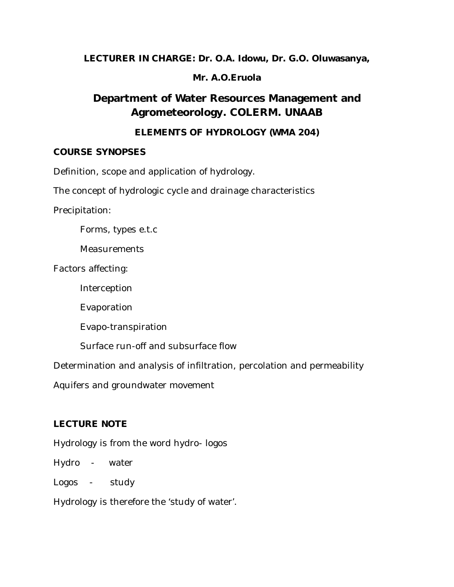**LECTURER IN CHARGE: Dr. O.A. Idowu, Dr. G.O. Oluwasanya,** 

# **Mr. A.O.Eruola**

# **Department of Water Resources Management and Agrometeorology. COLERM. UNAAB**

# **ELEMENTS OF HYDROLOGY (WMA 204)**

## **COURSE SYNOPSES**

Definition, scope and application of hydrology.

The concept of hydrologic cycle and drainage characteristics

Precipitation:

Forms, types e.t.c

**Measurements** 

Factors affecting:

Interception

Evaporation

Evapo-transpiration

Surface run-off and subsurface flow

Determination and analysis of infiltration, percolation and permeability

Aquifers and groundwater movement

# **LECTURE NOTE**

Hydrology is from the word hydro- logos

Hydro - water

Logos - study

Hydrology is therefore the 'study of water'.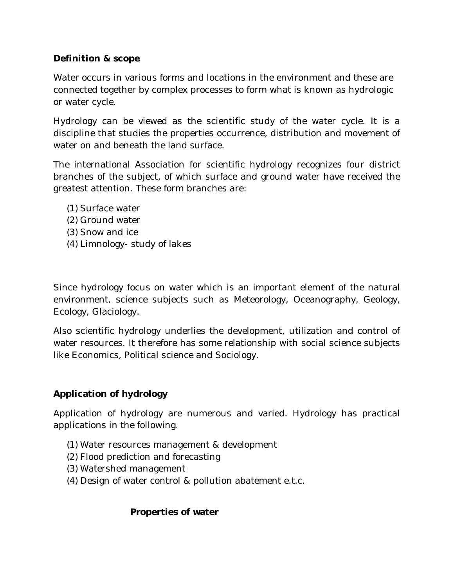## **Definition & scope**

Water occurs in various forms and locations in the environment and these are connected together by complex processes to form what is known as hydrologic or water cycle.

Hydrology can be viewed as the scientific study of the water cycle. It is a discipline that studies the properties occurrence, distribution and movement of water on and beneath the land surface.

The international Association for scientific hydrology recognizes four district branches of the subject, of which surface and ground water have received the greatest attention. These form branches are:

- (1) Surface water
- (2) Ground water
- (3) Snow and ice
- (4) Limnology- study of lakes

Since hydrology focus on water which is an important element of the natural environment, science subjects such as Meteorology, Oceanography, Geology, Ecology, Glaciology.

Also scientific hydrology underlies the development, utilization and control of water resources. It therefore has some relationship with social science subjects like Economics, Political science and Sociology.

## **Application of hydrology**

Application of hydrology are numerous and varied. Hydrology has practical applications in the following.

- (1) Water resources management & development
- (2) Flood prediction and forecasting
- (3) Watershed management
- (4) Design of water control & pollution abatement e.t.c.

#### **Properties of water**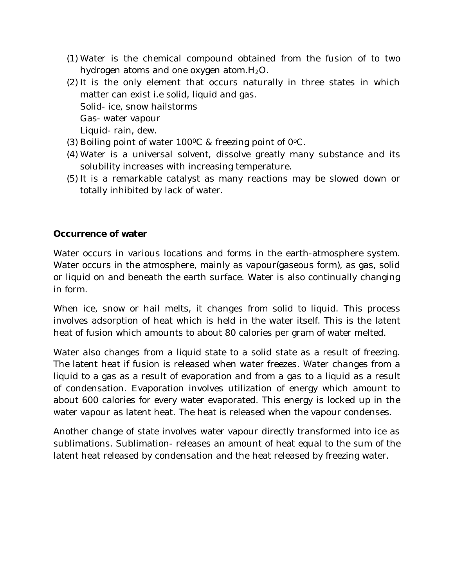- (1) Water is the chemical compound obtained from the fusion of to two hydrogen atoms and one oxygen atom.  $H_2O$ .
- (2) It is the only element that occurs naturally in three states in which matter can exist i.e solid, liquid and gas. Solid- ice, snow hailstorms Gas- water vapour Liquid- rain, dew.
- (3) Boiling point of water  $100^{\circ}$ C & freezing point of  $0^{\circ}$ C.
- (4) Water is a universal solvent, dissolve greatly many substance and its solubility increases with increasing temperature.
- (5) It is a remarkable catalyst as many reactions may be slowed down or totally inhibited by lack of water.

#### **Occurrence of water**

Water occurs in various locations and forms in the earth-atmosphere system. Water occurs in the atmosphere, mainly as vapour(gaseous form), as gas, solid or liquid on and beneath the earth surface. Water is also continually changing in form.

When ice, snow or hail melts, it changes from solid to liquid. This process involves adsorption of heat which is held in the water itself. This is the latent heat of fusion which amounts to about 80 calories per gram of water melted.

Water also changes from a liquid state to a solid state as a result of freezing. The latent heat if fusion is released when water freezes. Water changes from a liquid to a gas as a result of evaporation and from a gas to a liquid as a result of condensation. Evaporation involves utilization of energy which amount to about 600 calories for every water evaporated. This energy is locked up in the water vapour as latent heat. The heat is released when the vapour condenses.

Another change of state involves water vapour directly transformed into ice as sublimations. Sublimation- releases an amount of heat equal to the sum of the latent heat released by condensation and the heat released by freezing water.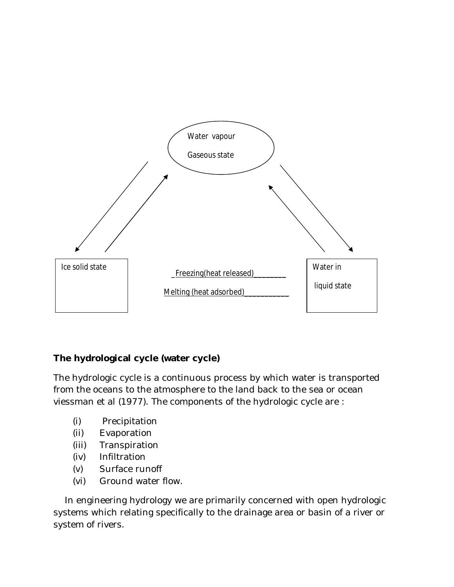

## **The hydrological cycle (water cycle)**

The hydrologic cycle is a continuous process by which water is transported from the oceans to the atmosphere to the land back to the sea or ocean viessman et al (1977). The components of the hydrologic cycle are :

- (i) Precipitation
- (ii) Evaporation
- (iii) Transpiration
- (iv) Infiltration
- (v) Surface runoff
- (vi) Ground water flow.

 In engineering hydrology we are primarily concerned with open hydrologic systems which relating specifically to the drainage area or basin of a river or system of rivers.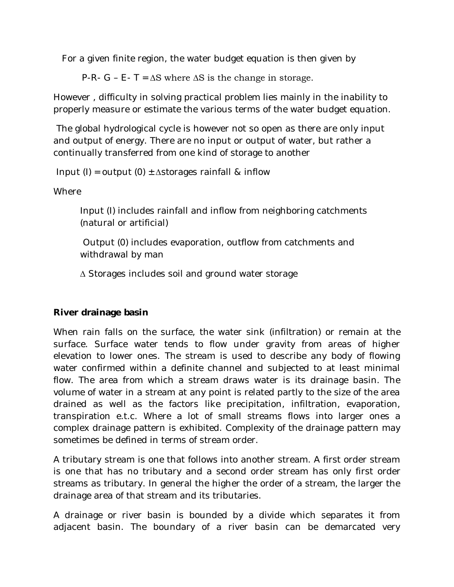For a given finite region, the water budget equation is then given by

P-R- G – E- T =  $\Delta S$  where  $\Delta S$  is the change in storage.

However , difficulty in solving practical problem lies mainly in the inability to properly measure or estimate the various terms of the water budget equation.

The global hydrological cycle is however not so open as there are only input and output of energy. There are no input or output of water, but rather a continually transferred from one kind of storage to another

Input (I) = output (0)  $\pm$  ∆storages rainfall & inflow

**Where** 

Input (I) includes rainfall and inflow from neighboring catchments (natural or artificial)

Output (0) includes evaporation, outflow from catchments and withdrawal by man

∆ Storages includes soil and ground water storage

#### **River drainage basin**

When rain falls on the surface, the water sink (infiltration) or remain at the surface. Surface water tends to flow under gravity from areas of higher elevation to lower ones. The stream is used to describe any body of flowing water confirmed within a definite channel and subjected to at least minimal flow. The area from which a stream draws water is its drainage basin. The volume of water in a stream at any point is related partly to the size of the area drained as well as the factors like precipitation, infiltration, evaporation, transpiration e.t.c. Where a lot of small streams flows into larger ones a complex drainage pattern is exhibited. Complexity of the drainage pattern may sometimes be defined in terms of stream order.

A tributary stream is one that follows into another stream. A first order stream is one that has no tributary and a second order stream has only first order streams as tributary. In general the higher the order of a stream, the larger the drainage area of that stream and its tributaries.

A drainage or river basin is bounded by a divide which separates it from adjacent basin. The boundary of a river basin can be demarcated very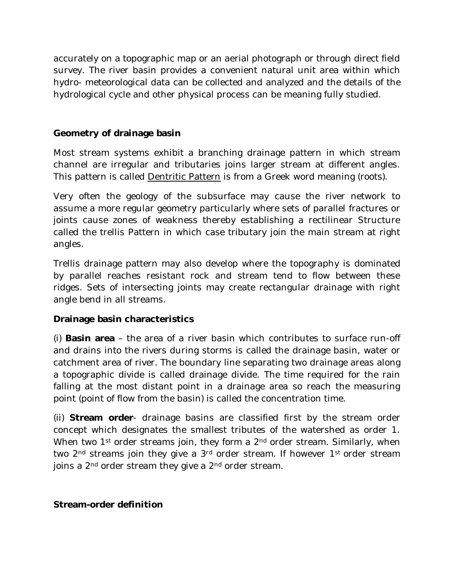accurately on a topographic map or an aerial photograph or through direct field survey. The river basin provides a convenient natural unit area within which hydro- meteorological data can be collected and analyzed and the details of the hydrological cycle and other physical process can be meaning fully studied.

## **Geometry of drainage basin**

Most stream systems exhibit a branching drainage pattern in which stream channel are irregular and tributaries joins larger stream at different angles. This pattern is called Dentritic Pattern is from a Greek word meaning (roots).

Very often the geology of the subsurface may cause the river network to assume a more regular geometry particularly where sets of parallel fractures or joints cause zones of weakness thereby establishing a rectilinear Structure called the trellis Pattern in which case tributary join the main stream at right angles.

Trellis drainage pattern may also develop where the topography is dominated by parallel reaches resistant rock and stream tend to flow between these ridges. Sets of intersecting joints may create rectangular drainage with right angle bend in all streams.

#### **Drainage basin characteristics**

(i) **Basin area** – the area of a river basin which contributes to surface run-off and drains into the rivers during storms is called the drainage basin, water or catchment area of river. The boundary line separating two drainage areas along a topographic divide is called drainage divide. The time required for the rain falling at the most distant point in a drainage area so reach the measuring point (point of flow from the basin) is called the concentration time.

(ii) **Stream order**- drainage basins are classified first by the stream order concept which designates the smallest tributes of the watershed as order 1. When two 1<sup>st</sup> order streams join, they form a 2<sup>nd</sup> order stream. Similarly, when two 2<sup>nd</sup> streams join they give a 3<sup>rd</sup> order stream. If however 1<sup>st</sup> order stream joins a 2<sup>nd</sup> order stream they give a 2<sup>nd</sup> order stream.

#### **Stream-order definition**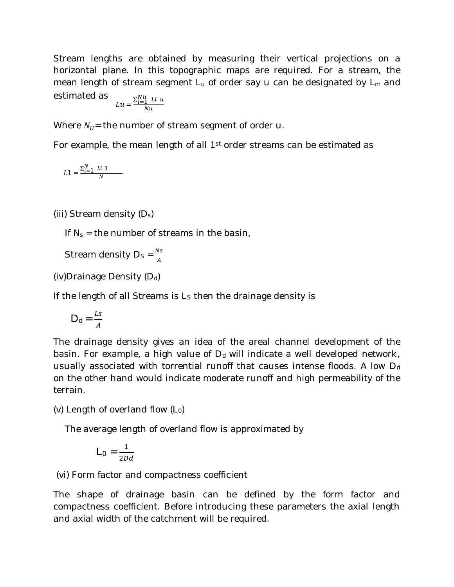Stream lengths are obtained by measuring their vertical projections on a horizontal plane. In this topographic maps are required. For a stream, the mean length of stream segment  $L<sub>u</sub>$  of order say u can be designated by  $L<sub>m</sub>$  and estimated as  $\sum_{i=1}^{Nu}$  Li u

$$
Lu = \frac{L_{i=1} L u}{Nu}
$$

Where  $N_U$  = the number of stream segment of order u.

For example, the mean length of all 1<sup>st</sup> order streams can be estimated as

$$
L1 = \frac{\sum_{i=1}^{N} Li \; 1}{N}
$$

(iii) Stream density  $(D_s)$ 

If  $N_s$  = the number of streams in the basin,

Stream density  $D_s = \frac{Ns}{4}$  $\overline{A}$ 

(iv)Drainage Density  $(D_d)$ 

If the length of all Streams is  $L<sub>s</sub>$  then the drainage density is

$$
D_d = \frac{Ls}{A}
$$

The drainage density gives an idea of the areal channel development of the basin. For example, a high value of  $D_d$  will indicate a well developed network, usually associated with torrential runoff that causes intense floods. A low  $D_d$ on the other hand would indicate moderate runoff and high permeability of the terrain.

(v) Length of overland flow  $(L_0)$ 

The average length of overland flow is approximated by

$$
L_0 = \frac{1}{2Dd}
$$

(vi) Form factor and compactness coefficient

The shape of drainage basin can be defined by the form factor and compactness coefficient. Before introducing these parameters the axial length and axial width of the catchment will be required.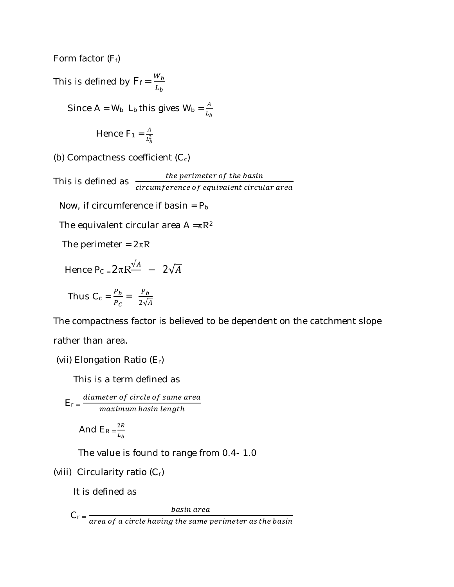Form factor  $(F_f)$ 

This is defined by  $F_f = \frac{W_b}{I}$  $L_b$ Since A = W<sub>b</sub> L<sub>b</sub> this gives W<sub>b</sub> =  $\frac{A}{I}$  $L_b$ Hence  $F_1 = \frac{A}{l^2}$  $L_b^2$ (b) Compactness coefficient  $(C_c)$ the perimeter of the basin<br>This is defined as  $\frac{the \textit{ perimeter of the basin}}{circumference \textit{ of equivalent circular area}}$ Now, if circumference if basin =  $P_b$ The equivalent circular area  $A = \pi R^2$ The perimeter =  $2\pi R$ Hence P<sub>C =</sub>  $2\pi R \frac{\sqrt{A}}{A}$  –  $2\sqrt{A}$  $P_b$   $P_b$ 

Thus 
$$
C_c = \frac{P_b}{P_c} = \frac{P_b}{2\sqrt{A}}
$$

The compactness factor is believed to be dependent on the catchment slope

rather than area.

(vii) Elongation Ratio 
$$
(E_r)
$$

This is a term defined as

$$
E_r = \frac{diameter\ of\ circle\ of\ same\ area}{maximum\ basin\ length}
$$

And 
$$
E_R = \frac{2R}{L_b}
$$

The value is found to range from 0.4- 1.0

(viii) Circularity ratio 
$$
(C_r)
$$

It is defined as

$$
C_r = \frac{basin\ area}{area\ of\ a\ circle\ having\ the\ same\ perimeter\ as\ the\ basin}
$$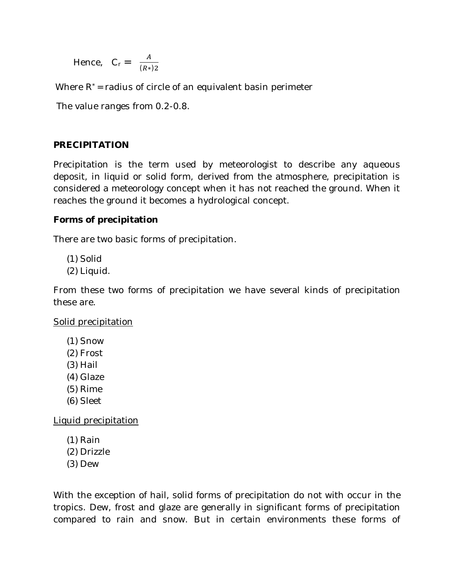Hence, 
$$
C_r = \frac{A}{(R*)^2}
$$

Where  $R^*$  = radius of circle of an equivalent basin perimeter

The value ranges from 0.2-0.8.

#### **PRECIPITATION**

Precipitation is the term used by meteorologist to describe any aqueous deposit, in liquid or solid form, derived from the atmosphere, precipitation is considered a meteorology concept when it has not reached the ground. When it reaches the ground it becomes a hydrological concept.

#### **Forms of precipitation**

There are two basic forms of precipitation.

- (1) Solid
- (2) Liquid.

From these two forms of precipitation we have several kinds of precipitation these are.

Solid precipitation

- (1) Snow
- (2) Frost
- (3) Hail
- (4) Glaze
- (5) Rime
- (6) Sleet

Liquid precipitation

- (1) Rain
- (2) Drizzle
- (3) Dew

With the exception of hail, solid forms of precipitation do not with occur in the tropics. Dew, frost and glaze are generally in significant forms of precipitation compared to rain and snow. But in certain environments these forms of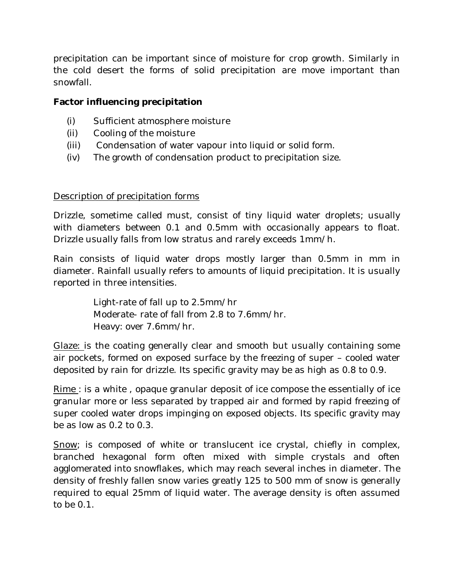precipitation can be important since of moisture for crop growth. Similarly in the cold desert the forms of solid precipitation are move important than snowfall.

#### **Factor influencing precipitation**

- (i) Sufficient atmosphere moisture
- (ii) Cooling of the moisture
- (iii) Condensation of water vapour into liquid or solid form.
- (iv) The growth of condensation product to precipitation size.

#### Description of precipitation forms

Drizzle, sometime called must, consist of tiny liquid water droplets; usually with diameters between 0.1 and 0.5mm with occasionally appears to float. Drizzle usually falls from low stratus and rarely exceeds 1mm/h.

Rain consists of liquid water drops mostly larger than 0.5mm in mm in diameter. Rainfall usually refers to amounts of liquid precipitation. It is usually reported in three intensities.

> Light-rate of fall up to 2.5mm/hr Moderate- rate of fall from 2.8 to 7.6mm/hr. Heavy: over 7.6mm/hr.

Glaze: is the coating generally clear and smooth but usually containing some air pockets, formed on exposed surface by the freezing of super – cooled water deposited by rain for drizzle. Its specific gravity may be as high as 0.8 to 0.9.

Rime : is a white , opaque granular deposit of ice compose the essentially of ice granular more or less separated by trapped air and formed by rapid freezing of super cooled water drops impinging on exposed objects. Its specific gravity may be as low as 0.2 to 0.3.

Snow; is composed of white or translucent ice crystal, chiefly in complex, branched hexagonal form often mixed with simple crystals and often agglomerated into snowflakes, which may reach several inches in diameter. The density of freshly fallen snow varies greatly 125 to 500 mm of snow is generally required to equal 25mm of liquid water. The average density is often assumed to be 0.1.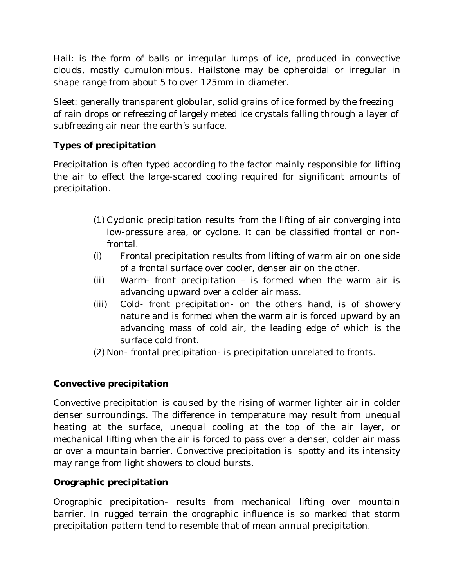Hail: is the form of balls or irregular lumps of ice, produced in convective clouds, mostly cumulonimbus. Hailstone may be opheroidal or irregular in shape range from about 5 to over 125mm in diameter.

Sleet: generally transparent globular, solid grains of ice formed by the freezing of rain drops or refreezing of largely meted ice crystals falling through a layer of subfreezing air near the earth's surface.

# **Types of precipitation**

Precipitation is often typed according to the factor mainly responsible for lifting the air to effect the large-scared cooling required for significant amounts of precipitation.

- (1) Cyclonic precipitation results from the lifting of air converging into low-pressure area, or cyclone. It can be classified frontal or nonfrontal.
- (i) Frontal precipitation results from lifting of warm air on one side of a frontal surface over cooler, denser air on the other.
- (ii) Warm- front precipitation is formed when the warm air is advancing upward over a colder air mass.
- (iii) Cold- front precipitation- on the others hand, is of showery nature and is formed when the warm air is forced upward by an advancing mass of cold air, the leading edge of which is the surface cold front.
- (2) Non- frontal precipitation- is precipitation unrelated to fronts.

## **Convective precipitation**

Convective precipitation is caused by the rising of warmer lighter air in colder denser surroundings. The difference in temperature may result from unequal heating at the surface, unequal cooling at the top of the air layer, or mechanical lifting when the air is forced to pass over a denser, colder air mass or over a mountain barrier. Convective precipitation is spotty and its intensity may range from light showers to cloud bursts.

## **Orographic precipitation**

Orographic precipitation- results from mechanical lifting over mountain barrier. In rugged terrain the orographic influence is so marked that storm precipitation pattern tend to resemble that of mean annual precipitation.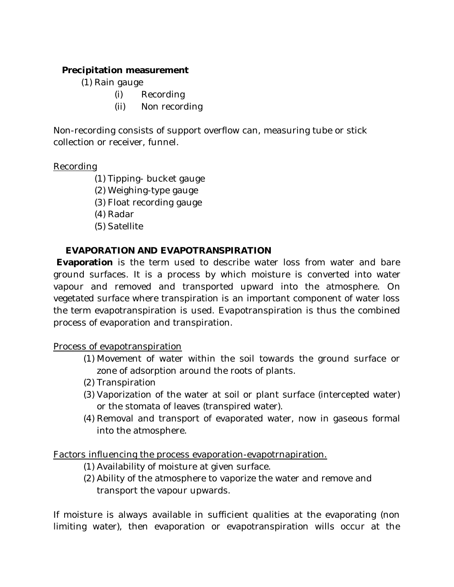# **Precipitation measurement**

- (1) Rain gauge
	- (i) Recording
	- (ii) Non recording

Non-recording consists of support overflow can, measuring tube or stick collection or receiver, funnel.

#### Recording

- (1) Tipping- bucket gauge
- (2) Weighing-type gauge
- (3) Float recording gauge
- (4) Radar
- (5) Satellite

## **EVAPORATION AND EVAPOTRANSPIRATION**

**Evaporation** is the term used to describe water loss from water and bare ground surfaces. It is a process by which moisture is converted into water vapour and removed and transported upward into the atmosphere. On vegetated surface where transpiration is an important component of water loss the term evapotranspiration is used. Evapotranspiration is thus the combined process of evaporation and transpiration.

Process of evapotranspiration

- (1) Movement of water within the soil towards the ground surface or zone of adsorption around the roots of plants.
- (2) Transpiration
- (3) Vaporization of the water at soil or plant surface (intercepted water) or the stomata of leaves (transpired water).
- (4) Removal and transport of evaporated water, now in gaseous formal into the atmosphere.

Factors influencing the process evaporation-evapotrnapiration.

- (1) Availability of moisture at given surface.
- (2) Ability of the atmosphere to vaporize the water and remove and transport the vapour upwards.

If moisture is always available in sufficient qualities at the evaporating (non limiting water), then evaporation or evapotranspiration wills occur at the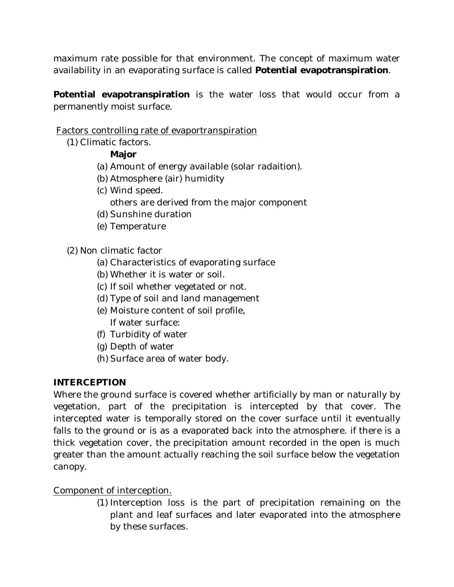maximum rate possible for that environment. The concept of maximum water availability in an evaporating surface is called **Potential evapotranspiration**.

**Potential evapotranspiration** is the water loss that would occur from a permanently moist surface.

## Factors controlling rate of evaportranspiration

(1) Climatic factors.

# **Major**

- (a) Amount of energy available (solar radaition).
- (b) Atmosphere (air) humidity
- (c) Wind speed.
	- others are derived from the major component
- (d) Sunshine duration
- (e) Temperature

(2) Non climatic factor

- (a) Characteristics of evaporating surface
- (b) Whether it is water or soil.
- (c) If soil whether vegetated or not.
- (d) Type of soil and land management
- (e) Moisture content of soil profile, If water surface:
- (f) Turbidity of water
- (g) Depth of water
- (h) Surface area of water body.

## **INTERCEPTION**

Where the ground surface is covered whether artificially by man or naturally by vegetation, part of the precipitation is intercepted by that cover. The intercepted water is temporally stored on the cover surface until it eventually falls to the ground or is as a evaporated back into the atmosphere. if there is a thick vegetation cover, the precipitation amount recorded in the open is much greater than the amount actually reaching the soil surface below the vegetation canopy.

## Component of interception.

(1) Interception loss is the part of precipitation remaining on the plant and leaf surfaces and later evaporated into the atmosphere by these surfaces.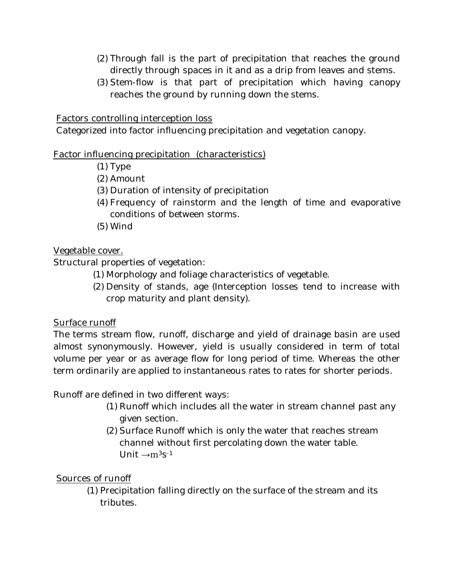- (2) Through fall is the part of precipitation that reaches the ground directly through spaces in it and as a drip from leaves and stems.
- (3) Stem-flow is that part of precipitation which having canopy reaches the ground by running down the stems.

Factors controlling interception loss

Categorized into factor influencing precipitation and vegetation canopy.

## Factor influencing precipitation (characteristics)

- (1) Type
- (2) Amount
- (3) Duration of intensity of precipitation
- (4) Frequency of rainstorm and the length of time and evaporative conditions of between storms.
- (5) Wind

## Vegetable cover.

Structural properties of vegetation:

- (1) Morphology and foliage characteristics of vegetable.
- (2) Density of stands, age (Interception losses tend to increase with crop maturity and plant density).

## Surface runoff

The terms stream flow, runoff, discharge and yield of drainage basin are used almost synonymously. However, yield is usually considered in term of total volume per year or as average flow for long period of time. Whereas the other term ordinarily are applied to instantaneous rates to rates for shorter periods.

Runoff are defined in two different ways:

- (1) Runoff which includes all the water in stream channel past any given section.
- (2) Surface Runoff which is only the water that reaches stream channel without first percolating down the water table. Unit  $\rightarrow$ m<sup>3</sup>s<sup>-1</sup>

# Sources of runoff

(1) Precipitation falling directly on the surface of the stream and its tributes.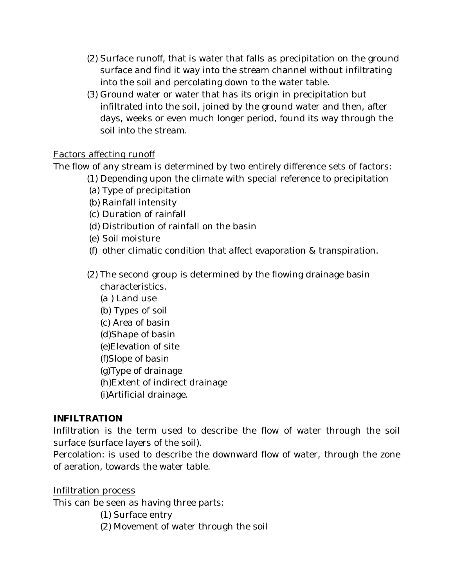- (2) Surface runoff, that is water that falls as precipitation on the ground surface and find it way into the stream channel without infiltrating into the soil and percolating down to the water table.
- (3) Ground water or water that has its origin in precipitation but infiltrated into the soil, joined by the ground water and then, after days, weeks or even much longer period, found its way through the soil into the stream.

## Factors affecting runoff

The flow of any stream is determined by two entirely difference sets of factors:

- (1) Depending upon the climate with special reference to precipitation
- (a) Type of precipitation
- (b) Rainfall intensity
- (c) Duration of rainfall
- (d) Distribution of rainfall on the basin
- (e) Soil moisture
- (f) other climatic condition that affect evaporation & transpiration.
- (2) The second group is determined by the flowing drainage basin characteristics.
	- (a ) Land use
	- (b) Types of soil
	- (c) Area of basin
	- (d)Shape of basin
	- (e)Elevation of site
	- (f)Slope of basin
	- (g)Type of drainage
	- (h)Extent of indirect drainage
	- (i)Artificial drainage.

## **INFILTRATION**

Infiltration is the term used to describe the flow of water through the soil surface (surface layers of the soil).

Percolation: is used to describe the downward flow of water, through the zone of aeration, towards the water table.

## Infiltration process

This can be seen as having three parts:

- (1) Surface entry
- (2) Movement of water through the soil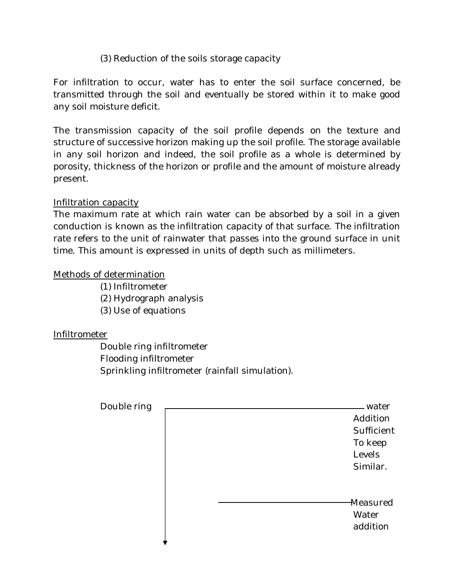## (3) Reduction of the soils storage capacity

For infiltration to occur, water has to enter the soil surface concerned, be transmitted through the soil and eventually be stored within it to make good any soil moisture deficit.

The transmission capacity of the soil profile depends on the texture and structure of successive horizon making up the soil profile. The storage available in any soil horizon and indeed, the soil profile as a whole is determined by porosity, thickness of the horizon or profile and the amount of moisture already present.

#### Infiltration capacity

The maximum rate at which rain water can be absorbed by a soil in a given conduction is known as the infiltration capacity of that surface. The infiltration rate refers to the unit of rainwater that passes into the ground surface in unit time. This amount is expressed in units of depth such as millimeters.

#### Methods of determination

(1) Infiltrometer

(2) Hydrograph analysis

(3) Use of equations

## Infiltrometer

Double ring infiltrometer Flooding infiltrometer Sprinkling infiltrometer (rainfall simulation).

| Double ring |  | water                |
|-------------|--|----------------------|
|             |  | Addition             |
|             |  | Sufficient           |
|             |  | To keep              |
|             |  | Levels               |
|             |  | Similar.             |
|             |  |                      |
|             |  | <del>M</del> easured |
|             |  | Water                |
|             |  | addition             |
|             |  |                      |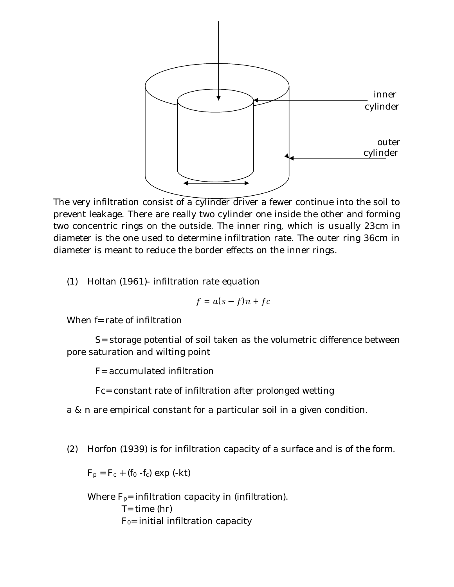

The very infiltration consist of a cylinder driver a fewer continue into the soil to prevent leakage. There are really two cylinder one inside the other and forming two concentric rings on the outside. The inner ring, which is usually 23cm in diameter is the one used to determine infiltration rate. The outer ring 36cm in diameter is meant to reduce the border effects on the inner rings.

(1) Holtan (1961)- infiltration rate equation

$$
f = a(s - f)n + fc
$$

When f= rate of infiltration

 S= storage potential of soil taken as the volumetric difference between pore saturation and wilting point

F= accumulated infiltration

Fc= constant rate of infiltration after prolonged wetting

a & n are empirical constant for a particular soil in a given condition.

(2) Horfon (1939) is for infiltration capacity of a surface and is of the form.

 $F_p = F_c + (f_0 - f_c) \exp(-kt)$ 

Where  $F_{p}$ = infiltration capacity in (infiltration).  $T=$  time (hr)  $F<sub>0</sub>=$  initial infiltration capacity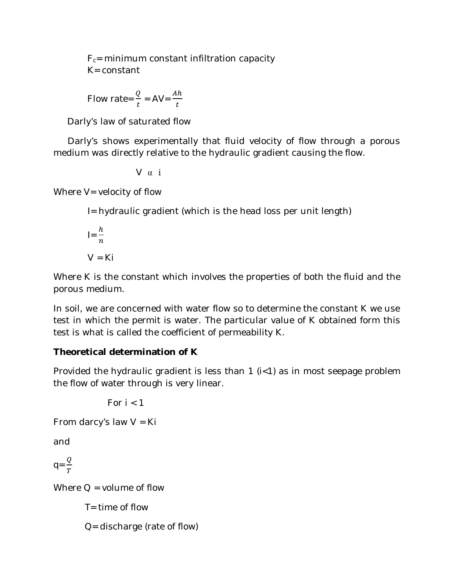$F_c$ = minimum constant infiltration capacity K= constant

Flow rate=
$$
\frac{Q}{t}
$$
 = AV= $\frac{Ah}{t}$ 

Darly's law of saturated flow

 Darly's shows experimentally that fluid velocity of flow through a porous medium was directly relative to the hydraulic gradient causing the flow.

$$
\vee \alpha i
$$

Where  $V =$  velocity of flow

I= hydraulic gradient (which is the head loss per unit length)

$$
I = \frac{h}{n}
$$

$$
V = Ki
$$

Where K is the constant which involves the properties of both the fluid and the porous medium.

In soil, we are concerned with water flow so to determine the constant K we use test in which the permit is water. The particular value of K obtained form this test is what is called the coefficient of permeability K.

# **Theoretical determination of K**

Provided the hydraulic gradient is less than 1 (i<1) as in most seepage problem the flow of water through is very linear.

For  $i < 1$ 

From darcy's law  $V = Ki$ 

and

 $q = \frac{Q}{T}$  $\overline{T}$ 

Where  $Q =$  volume of flow

 $T =$  time of flow

Q= discharge (rate of flow)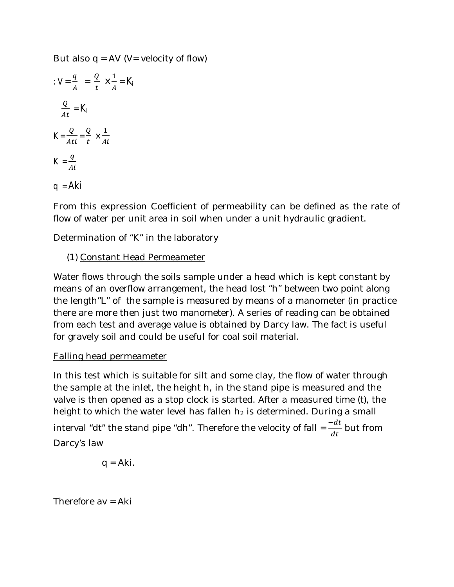But also  $q = AV$  (V= velocity of flow)

$$
V = \frac{q}{A} = \frac{Q}{t} \times \frac{1}{A} = K_{i}
$$
  

$$
\frac{Q}{At} = K_{i}
$$
  

$$
K = \frac{Q}{Ati} = \frac{Q}{t} \times \frac{1}{Ai}
$$
  

$$
K = \frac{q}{Ai}
$$
  

$$
q = Aki
$$

From this expression Coefficient of permeability can be defined as the rate of flow of water per unit area in soil when under a unit hydraulic gradient.

Determination of "K" in the laboratory

## (1) Constant Head Permeameter

Water flows through the soils sample under a head which is kept constant by means of an overflow arrangement, the head lost "h" between two point along the length"L" of the sample is measured by means of a manometer (in practice there are more then just two manometer). A series of reading can be obtained from each test and average value is obtained by Darcy law. The fact is useful for gravely soil and could be useful for coal soil material.

#### Falling head permeameter

In this test which is suitable for silt and some clay, the flow of water through the sample at the inlet, the height h, in the stand pipe is measured and the valve is then opened as a stop clock is started. After a measured time (t), the height to which the water level has fallen  $h_2$  is determined. During a small interval "dt" the stand pipe "dh". Therefore the velocity of fall =  $\frac{-dt}{dt}$  but from Darcy's law

$$
q = Aki.
$$

Therefore av = Aki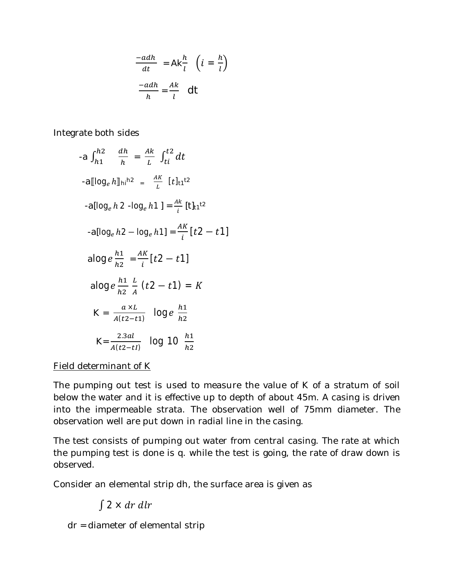$$
\frac{-adh}{dt} = Ak\frac{h}{l} \left( i = \frac{h}{l} \right)
$$

$$
\frac{-adh}{h} = \frac{Ak}{l} \quad \text{d}t
$$

Integrate both sides

$$
-a \int_{h1}^{h2} \frac{dh}{h} = \frac{Ak}{L} \int_{ti}^{t2} dt
$$
  
\n
$$
-a[log_e h]_{hi}^{h2} = \frac{AK}{L} [t]_{t1}^{t2}
$$
  
\n
$$
-a[log_e h2 - log_e h1] = \frac{Ak}{i} [t]_{t1}^{t2}
$$
  
\n
$$
-a[log_e h2 - log_e h1] = \frac{AK}{i} [t2 - t1]
$$
  
\n
$$
alog e \frac{h1}{h2} = \frac{AK}{i} [t2 - t1]
$$
  
\n
$$
alog e \frac{h1}{h2} \frac{L}{A} (t2 - t1) = K
$$
  
\n
$$
K = \frac{a \times L}{A(t2 - t1)} log_e e \frac{h1}{h2}
$$
  
\n
$$
K = \frac{2.3al}{A(t2 - t1)} log_1 00 \frac{h1}{h2}
$$

Field determinant of K

The pumping out test is used to measure the value of K of a stratum of soil below the water and it is effective up to depth of about 45m. A casing is driven into the impermeable strata. The observation well of 75mm diameter. The observation well are put down in radial line in the casing.

The test consists of pumping out water from central casing. The rate at which the pumping test is done is q. while the test is going, the rate of draw down is observed.

Consider an elemental strip dh, the surface area is given as

# $\int 2 \times dr \, dr$

dr = diameter of elemental strip